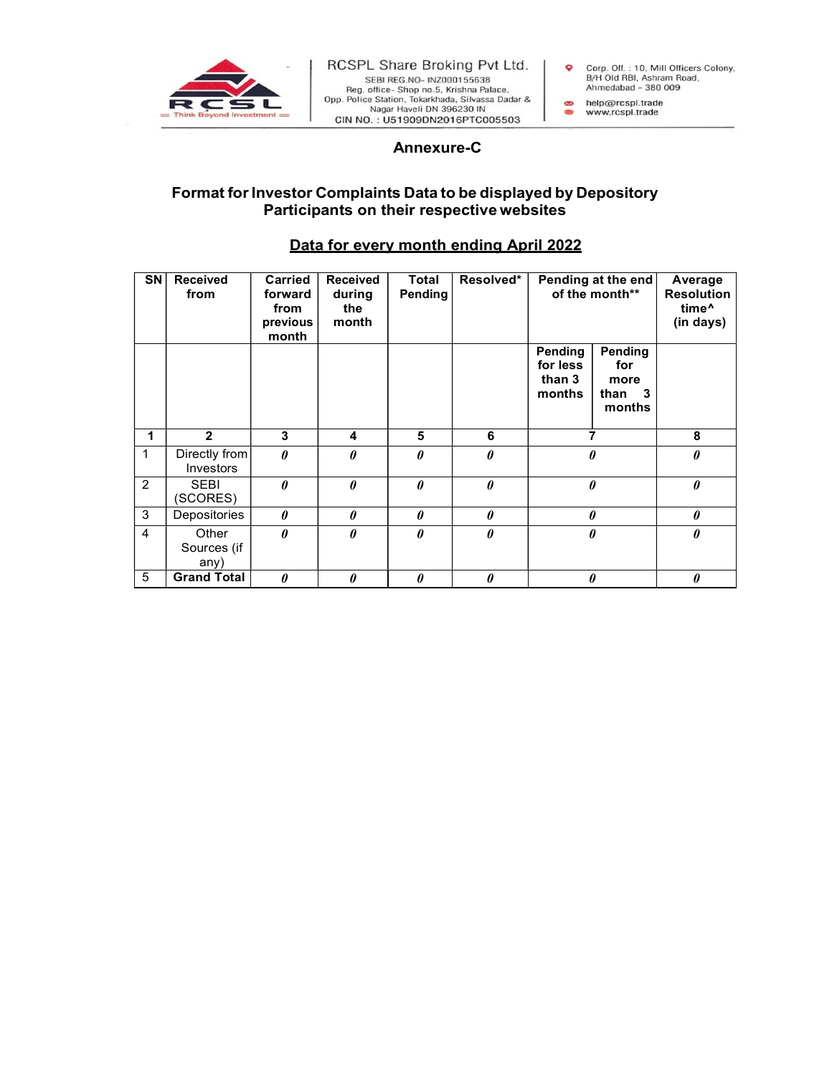

## a non- Tokar Maria Pate 1971<br>
A non- Tokar Maria Pate 2014<br>
Shop no.5, Krishna Pate 2014<br>
Shop non, Tokar Mada, Silvassa Dadar &<br>
Ahmedabad - 380 009<br>
Haveli DN 396230 IN<br>
Annexure-C<br>
S Data to be displayed by Depository<br> Format for Investor Complaints Data to be displayed by Depository Participants on their respective websites

## Data for every month ending April 2022

| SN             | Received<br>from             | <b>Carried</b><br>forward<br>from<br>previous<br>month | <b>Received</b><br>during<br>the<br>month | Total<br>Pending      | Resolved*             | Pending at the end<br>of the month**    |                                            | Average<br><b>Resolution</b><br>time <sup>^</sup><br>(in days) |
|----------------|------------------------------|--------------------------------------------------------|-------------------------------------------|-----------------------|-----------------------|-----------------------------------------|--------------------------------------------|----------------------------------------------------------------|
|                |                              |                                                        |                                           |                       |                       | Pending<br>for less<br>than 3<br>months | Pending<br>for<br>more<br>than 3<br>months |                                                                |
|                | $\overline{2}$               | 3                                                      | 4                                         | 5                     | 6                     | 7                                       |                                            | 8                                                              |
| $\mathbf{1}$   | Directly from<br>Investors   | $\boldsymbol{\theta}$                                  | $\boldsymbol{\theta}$                     | $\boldsymbol{\theta}$ | $\boldsymbol{\theta}$ | 0                                       |                                            | $\boldsymbol{\theta}$                                          |
| $\overline{2}$ | <b>SEBI</b><br>(SCORES)      | $\theta$                                               | $\theta$                                  | $\theta$              | $\boldsymbol{\theta}$ | $\theta$                                |                                            | $\boldsymbol{\theta}$                                          |
| $\mathbf{3}$   | Depositories                 | 0                                                      | 0                                         | $\theta$              | 0                     | $\theta$                                |                                            | $\boldsymbol{\theta}$                                          |
| 4              | Other<br>Sources (if<br>any) | $\theta$                                               | $\theta$                                  | $\theta$              | $\pmb{\theta}$        | 0                                       |                                            | $\boldsymbol{\theta}$                                          |
| 5              | <b>Grand Total</b>           | 0                                                      | 0                                         | $\theta$              | 0                     | 0                                       |                                            | $\boldsymbol{\theta}$                                          |